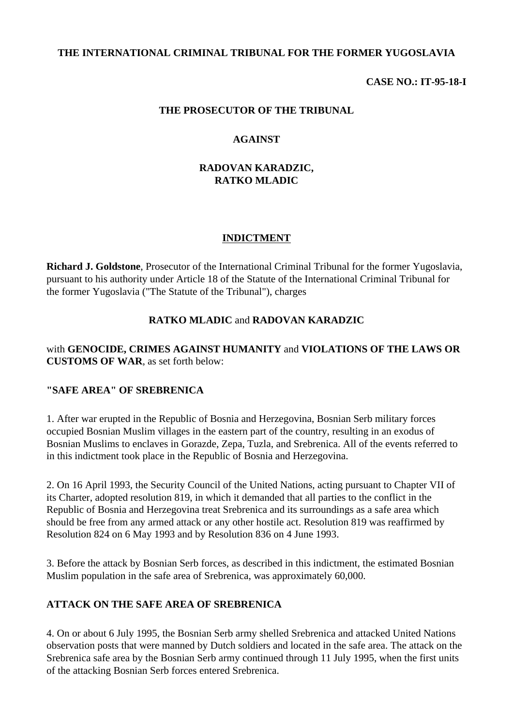### **THE INTERNATIONAL CRIMINAL TRIBUNAL FOR THE FORMER YUGOSLAVIA**

### **CASE NO.: IT-95-18-I**

#### **THE PROSECUTOR OF THE TRIBUNAL**

#### **AGAINST**

### **RADOVAN KARADZIC, RATKO MLADIC**

### **INDICTMENT**

**Richard J. Goldstone**, Prosecutor of the International Criminal Tribunal for the former Yugoslavia, pursuant to his authority under Article 18 of the Statute of the International Criminal Tribunal for the former Yugoslavia ("The Statute of the Tribunal"), charges

### **RATKO MLADIC** and **RADOVAN KARADZIC**

### with **GENOCIDE, CRIMES AGAINST HUMANITY** and **VIOLATIONS OF THE LAWS OR CUSTOMS OF WAR**, as set forth below:

#### **"SAFE AREA" OF SREBRENICA**

1. After war erupted in the Republic of Bosnia and Herzegovina, Bosnian Serb military forces occupied Bosnian Muslim villages in the eastern part of the country, resulting in an exodus of Bosnian Muslims to enclaves in Gorazde, Zepa, Tuzla, and Srebrenica. All of the events referred to in this indictment took place in the Republic of Bosnia and Herzegovina.

2. On 16 April 1993, the Security Council of the United Nations, acting pursuant to Chapter VII of its Charter, adopted resolution 819, in which it demanded that all parties to the conflict in the Republic of Bosnia and Herzegovina treat Srebrenica and its surroundings as a safe area which should be free from any armed attack or any other hostile act. Resolution 819 was reaffirmed by Resolution 824 on 6 May 1993 and by Resolution 836 on 4 June 1993.

3. Before the attack by Bosnian Serb forces, as described in this indictment, the estimated Bosnian Muslim population in the safe area of Srebrenica, was approximately 60,000.

#### **ATTACK ON THE SAFE AREA OF SREBRENICA**

4. On or about 6 July 1995, the Bosnian Serb army shelled Srebrenica and attacked United Nations observation posts that were manned by Dutch soldiers and located in the safe area. The attack on the Srebrenica safe area by the Bosnian Serb army continued through 11 July 1995, when the first units of the attacking Bosnian Serb forces entered Srebrenica.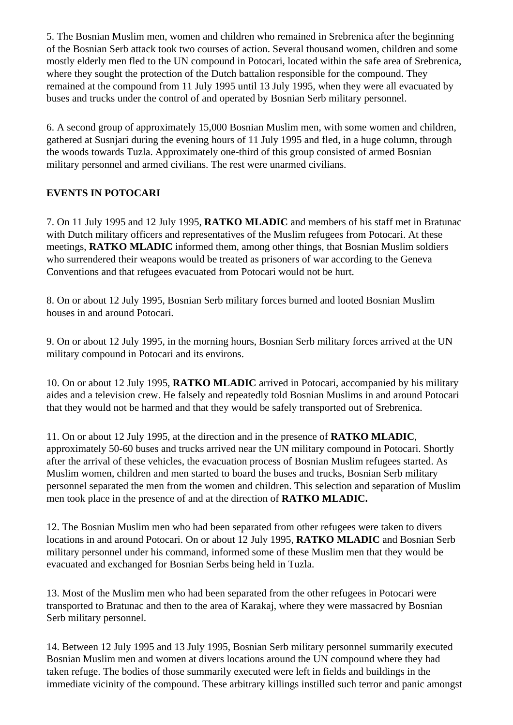5. The Bosnian Muslim men, women and children who remained in Srebrenica after the beginning of the Bosnian Serb attack took two courses of action. Several thousand women, children and some mostly elderly men fled to the UN compound in Potocari, located within the safe area of Srebrenica, where they sought the protection of the Dutch battalion responsible for the compound. They remained at the compound from 11 July 1995 until 13 July 1995, when they were all evacuated by buses and trucks under the control of and operated by Bosnian Serb military personnel.

6. A second group of approximately 15,000 Bosnian Muslim men, with some women and children, gathered at Susnjari during the evening hours of 11 July 1995 and fled, in a huge column, through the woods towards Tuzla. Approximately one-third of this group consisted of armed Bosnian military personnel and armed civilians. The rest were unarmed civilians.

# **EVENTS IN POTOCARI**

7. On 11 July 1995 and 12 July 1995, **RATKO MLADIC** and members of his staff met in Bratunac with Dutch military officers and representatives of the Muslim refugees from Potocari. At these meetings, **RATKO MLADIC** informed them, among other things, that Bosnian Muslim soldiers who surrendered their weapons would be treated as prisoners of war according to the Geneva Conventions and that refugees evacuated from Potocari would not be hurt.

8. On or about 12 July 1995, Bosnian Serb military forces burned and looted Bosnian Muslim houses in and around Potocari*.*

9. On or about 12 July 1995, in the morning hours, Bosnian Serb military forces arrived at the UN military compound in Potocari and its environs.

10. On or about 12 July 1995, **RATKO MLADIC** arrived in Potocari, accompanied by his military aides and a television crew. He falsely and repeatedly told Bosnian Muslims in and around Potocari that they would not be harmed and that they would be safely transported out of Srebrenica.

11. On or about 12 July 1995, at the direction and in the presence of **RATKO MLADIC**, approximately 50-60 buses and trucks arrived near the UN military compound in Potocari. Shortly after the arrival of these vehicles, the evacuation process of Bosnian Muslim refugees started. As Muslim women, children and men started to board the buses and trucks, Bosnian Serb military personnel separated the men from the women and children. This selection and separation of Muslim men took place in the presence of and at the direction of **RATKO MLADIC.**

12. The Bosnian Muslim men who had been separated from other refugees were taken to divers locations in and around Potocari. On or about 12 July 1995, **RATKO MLADIC** and Bosnian Serb military personnel under his command, informed some of these Muslim men that they would be evacuated and exchanged for Bosnian Serbs being held in Tuzla.

13. Most of the Muslim men who had been separated from the other refugees in Potocari were transported to Bratunac and then to the area of Karakaj, where they were massacred by Bosnian Serb military personnel.

14. Between 12 July 1995 and 13 July 1995, Bosnian Serb military personnel summarily executed Bosnian Muslim men and women at divers locations around the UN compound where they had taken refuge. The bodies of those summarily executed were left in fields and buildings in the immediate vicinity of the compound. These arbitrary killings instilled such terror and panic amongst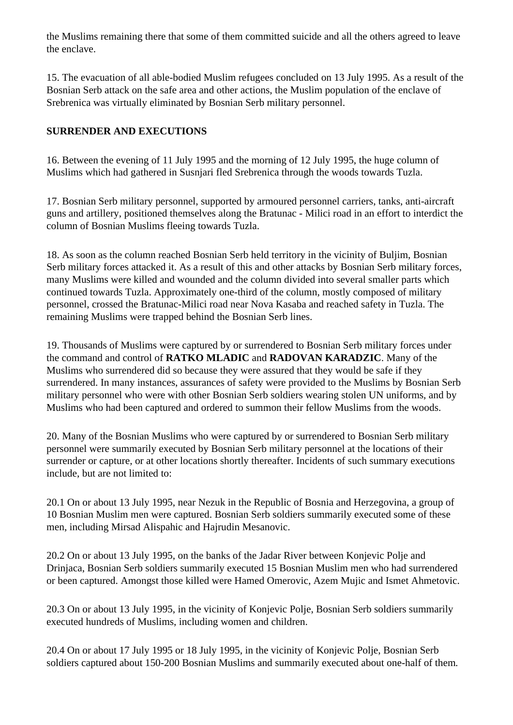the Muslims remaining there that some of them committed suicide and all the others agreed to leave the enclave.

15. The evacuation of all able-bodied Muslim refugees concluded on 13 July 1995. As a result of the Bosnian Serb attack on the safe area and other actions, the Muslim population of the enclave of Srebrenica was virtually eliminated by Bosnian Serb military personnel.

## **SURRENDER AND EXECUTIONS**

16. Between the evening of 11 July 1995 and the morning of 12 July 1995, the huge column of Muslims which had gathered in Susnjari fled Srebrenica through the woods towards Tuzla.

17. Bosnian Serb military personnel, supported by armoured personnel carriers, tanks, anti-aircraft guns and artillery, positioned themselves along the Bratunac - Milici road in an effort to interdict the column of Bosnian Muslims fleeing towards Tuzla.

18. As soon as the column reached Bosnian Serb held territory in the vicinity of Buljim, Bosnian Serb military forces attacked it. As a result of this and other attacks by Bosnian Serb military forces, many Muslims were killed and wounded and the column divided into several smaller parts which continued towards Tuzla. Approximately one-third of the column, mostly composed of military personnel, crossed the Bratunac-Milici road near Nova Kasaba and reached safety in Tuzla. The remaining Muslims were trapped behind the Bosnian Serb lines.

19. Thousands of Muslims were captured by or surrendered to Bosnian Serb military forces under the command and control of **RATKO MLADIC** and **RADOVAN KARADZIC**. Many of the Muslims who surrendered did so because they were assured that they would be safe if they surrendered. In many instances, assurances of safety were provided to the Muslims by Bosnian Serb military personnel who were with other Bosnian Serb soldiers wearing stolen UN uniforms, and by Muslims who had been captured and ordered to summon their fellow Muslims from the woods.

20. Many of the Bosnian Muslims who were captured by or surrendered to Bosnian Serb military personnel were summarily executed by Bosnian Serb military personnel at the locations of their surrender or capture, or at other locations shortly thereafter. Incidents of such summary executions include, but are not limited to:

20.1 On or about 13 July 1995, near Nezuk in the Republic of Bosnia and Herzegovina, a group of 10 Bosnian Muslim men were captured. Bosnian Serb soldiers summarily executed some of these men, including Mirsad Alispahic and Hajrudin Mesanovic.

20.2 On or about 13 July 1995, on the banks of the Jadar River between Konjevic Polje and Drinjaca, Bosnian Serb soldiers summarily executed 15 Bosnian Muslim men who had surrendered or been captured. Amongst those killed were Hamed Omerovic, Azem Mujic and Ismet Ahmetovic.

20.3 On or about 13 July 1995, in the vicinity of Konjevic Polje, Bosnian Serb soldiers summarily executed hundreds of Muslims, including women and children.

20.4 On or about 17 July 1995 or 18 July 1995, in the vicinity of Konjevic Polje, Bosnian Serb soldiers captured about 150-200 Bosnian Muslims and summarily executed about one-half of them*.*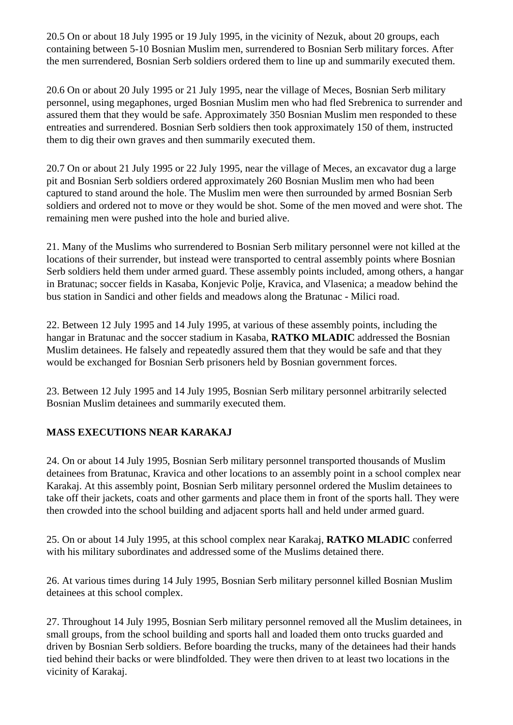20.5 On or about 18 July 1995 or 19 July 1995, in the vicinity of Nezuk, about 20 groups, each containing between 5-10 Bosnian Muslim men, surrendered to Bosnian Serb military forces. After the men surrendered, Bosnian Serb soldiers ordered them to line up and summarily executed them.

20.6 On or about 20 July 1995 or 21 July 1995, near the village of Meces, Bosnian Serb military personnel, using megaphones, urged Bosnian Muslim men who had fled Srebrenica to surrender and assured them that they would be safe. Approximately 350 Bosnian Muslim men responded to these entreaties and surrendered. Bosnian Serb soldiers then took approximately 150 of them, instructed them to dig their own graves and then summarily executed them.

20.7 On or about 21 July 1995 or 22 July 1995, near the village of Meces, an excavator dug a large pit and Bosnian Serb soldiers ordered approximately 260 Bosnian Muslim men who had been captured to stand around the hole. The Muslim men were then surrounded by armed Bosnian Serb soldiers and ordered not to move or they would be shot. Some of the men moved and were shot. The remaining men were pushed into the hole and buried alive.

21. Many of the Muslims who surrendered to Bosnian Serb military personnel were not killed at the locations of their surrender, but instead were transported to central assembly points where Bosnian Serb soldiers held them under armed guard. These assembly points included, among others, a hangar in Bratunac; soccer fields in Kasaba, Konjevic Polje, Kravica, and Vlasenica; a meadow behind the bus station in Sandici and other fields and meadows along the Bratunac - Milici road.

22. Between 12 July 1995 and 14 July 1995, at various of these assembly points, including the hangar in Bratunac and the soccer stadium in Kasaba, **RATKO MLADIC** addressed the Bosnian Muslim detainees. He falsely and repeatedly assured them that they would be safe and that they would be exchanged for Bosnian Serb prisoners held by Bosnian government forces.

23. Between 12 July 1995 and 14 July 1995, Bosnian Serb military personnel arbitrarily selected Bosnian Muslim detainees and summarily executed them.

# **MASS EXECUTIONS NEAR KARAKAJ**

24. On or about 14 July 1995, Bosnian Serb military personnel transported thousands of Muslim detainees from Bratunac, Kravica and other locations to an assembly point in a school complex near Karakaj. At this assembly point, Bosnian Serb military personnel ordered the Muslim detainees to take off their jackets, coats and other garments and place them in front of the sports hall. They were then crowded into the school building and adjacent sports hall and held under armed guard.

25. On or about 14 July 1995, at this school complex near Karakaj, **RATKO MLADIC** conferred with his military subordinates and addressed some of the Muslims detained there.

26. At various times during 14 July 1995, Bosnian Serb military personnel killed Bosnian Muslim detainees at this school complex.

27. Throughout 14 July 1995, Bosnian Serb military personnel removed all the Muslim detainees, in small groups, from the school building and sports hall and loaded them onto trucks guarded and driven by Bosnian Serb soldiers. Before boarding the trucks, many of the detainees had their hands tied behind their backs or were blindfolded. They were then driven to at least two locations in the vicinity of Karakaj.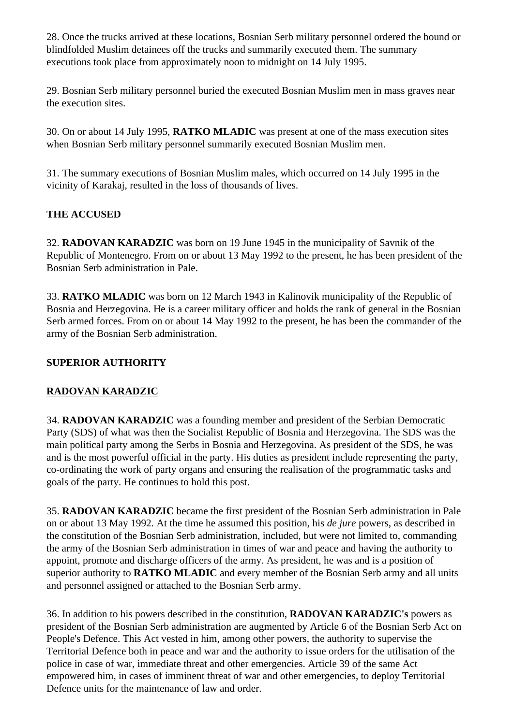28. Once the trucks arrived at these locations, Bosnian Serb military personnel ordered the bound or blindfolded Muslim detainees off the trucks and summarily executed them. The summary executions took place from approximately noon to midnight on 14 July 1995.

29. Bosnian Serb military personnel buried the executed Bosnian Muslim men in mass graves near the execution sites.

30. On or about 14 July 1995, **RATKO MLADIC** was present at one of the mass execution sites when Bosnian Serb military personnel summarily executed Bosnian Muslim men.

31. The summary executions of Bosnian Muslim males, which occurred on 14 July 1995 in the vicinity of Karakaj, resulted in the loss of thousands of lives.

# **THE ACCUSED**

32. **RADOVAN KARADZIC** was born on 19 June 1945 in the municipality of Savnik of the Republic of Montenegro. From on or about 13 May 1992 to the present, he has been president of the Bosnian Serb administration in Pale.

33. **RATKO MLADIC** was born on 12 March 1943 in Kalinovik municipality of the Republic of Bosnia and Herzegovina. He is a career military officer and holds the rank of general in the Bosnian Serb armed forces. From on or about 14 May 1992 to the present, he has been the commander of the army of the Bosnian Serb administration.

# **SUPERIOR AUTHORITY**

## **RADOVAN KARADZIC**

34. **RADOVAN KARADZIC** was a founding member and president of the Serbian Democratic Party (SDS) of what was then the Socialist Republic of Bosnia and Herzegovina. The SDS was the main political party among the Serbs in Bosnia and Herzegovina. As president of the SDS, he was and is the most powerful official in the party. His duties as president include representing the party, co-ordinating the work of party organs and ensuring the realisation of the programmatic tasks and goals of the party. He continues to hold this post.

35. **RADOVAN KARADZIC** became the first president of the Bosnian Serb administration in Pale on or about 13 May 1992. At the time he assumed this position, his *de jure* powers, as described in the constitution of the Bosnian Serb administration, included, but were not limited to, commanding the army of the Bosnian Serb administration in times of war and peace and having the authority to appoint, promote and discharge officers of the army. As president, he was and is a position of superior authority to **RATKO MLADIC** and every member of the Bosnian Serb army and all units and personnel assigned or attached to the Bosnian Serb army.

36. In addition to his powers described in the constitution, **RADOVAN KARADZIC's** powers as president of the Bosnian Serb administration are augmented by Article 6 of the Bosnian Serb Act on People's Defence. This Act vested in him, among other powers, the authority to supervise the Territorial Defence both in peace and war and the authority to issue orders for the utilisation of the police in case of war, immediate threat and other emergencies. Article 39 of the same Act empowered him, in cases of imminent threat of war and other emergencies, to deploy Territorial Defence units for the maintenance of law and order.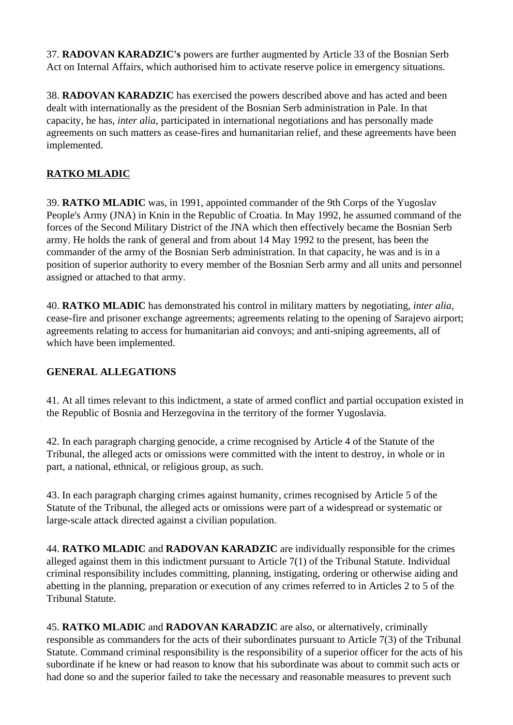37. **RADOVAN KARADZIC's** powers are further augmented by Article 33 of the Bosnian Serb Act on Internal Affairs, which authorised him to activate reserve police in emergency situations.

38. **RADOVAN KARADZIC** has exercised the powers described above and has acted and been dealt with internationally as the president of the Bosnian Serb administration in Pale. In that capacity, he has, *inter alia*, participated in international negotiations and has personally made agreements on such matters as cease-fires and humanitarian relief, and these agreements have been implemented.

# **RATKO MLADIC**

39. **RATKO MLADIC** was, in 1991, appointed commander of the 9th Corps of the Yugoslav People's Army (JNA) in Knin in the Republic of Croatia. In May 1992, he assumed command of the forces of the Second Military District of the JNA which then effectively became the Bosnian Serb army. He holds the rank of general and from about 14 May 1992 to the present, has been the commander of the army of the Bosnian Serb administration. In that capacity, he was and is in a position of superior authority to every member of the Bosnian Serb army and all units and personnel assigned or attached to that army.

40. **RATKO MLADIC** has demonstrated his control in military matters by negotiating, *inter alia*, cease-fire and prisoner exchange agreements; agreements relating to the opening of Sarajevo airport; agreements relating to access for humanitarian aid convoys; and anti-sniping agreements, all of which have been implemented.

## **GENERAL ALLEGATIONS**

41. At all times relevant to this indictment, a state of armed conflict and partial occupation existed in the Republic of Bosnia and Herzegovina in the territory of the former Yugoslavia.

42. In each paragraph charging genocide, a crime recognised by Article 4 of the Statute of the Tribunal, the alleged acts or omissions were committed with the intent to destroy, in whole or in part, a national, ethnical, or religious group, as such.

43. In each paragraph charging crimes against humanity, crimes recognised by Article 5 of the Statute of the Tribunal, the alleged acts or omissions were part of a widespread or systematic or large-scale attack directed against a civilian population.

44. **RATKO MLADIC** and **RADOVAN KARADZIC** are individually responsible for the crimes alleged against them in this indictment pursuant to Article 7(1) of the Tribunal Statute. Individual criminal responsibility includes committing, planning, instigating, ordering or otherwise aiding and abetting in the planning, preparation or execution of any crimes referred to in Articles 2 to 5 of the Tribunal Statute.

45. **RATKO MLADIC** and **RADOVAN KARADZIC** are also, or alternatively, criminally responsible as commanders for the acts of their subordinates pursuant to Article 7(3) of the Tribunal Statute. Command criminal responsibility is the responsibility of a superior officer for the acts of his subordinate if he knew or had reason to know that his subordinate was about to commit such acts or had done so and the superior failed to take the necessary and reasonable measures to prevent such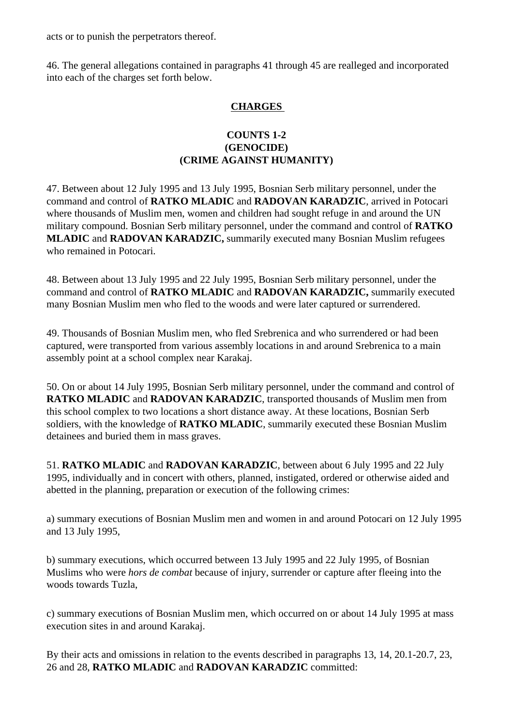acts or to punish the perpetrators thereof.

46. The general allegations contained in paragraphs 41 through 45 are realleged and incorporated into each of the charges set forth below.

## **CHARGES**

## **COUNTS 1-2 (GENOCIDE) (CRIME AGAINST HUMANITY)**

47. Between about 12 July 1995 and 13 July 1995, Bosnian Serb military personnel, under the command and control of **RATKO MLADIC** and **RADOVAN KARADZIC**, arrived in Potocari where thousands of Muslim men, women and children had sought refuge in and around the UN military compound. Bosnian Serb military personnel, under the command and control of **RATKO MLADIC** and **RADOVAN KARADZIC,** summarily executed many Bosnian Muslim refugees who remained in Potocari.

48. Between about 13 July 1995 and 22 July 1995, Bosnian Serb military personnel, under the command and control of **RATKO MLADIC** and **RADOVAN KARADZIC,** summarily executed many Bosnian Muslim men who fled to the woods and were later captured or surrendered.

49. Thousands of Bosnian Muslim men, who fled Srebrenica and who surrendered or had been captured, were transported from various assembly locations in and around Srebrenica to a main assembly point at a school complex near Karakaj.

50. On or about 14 July 1995, Bosnian Serb military personnel, under the command and control of **RATKO MLADIC** and **RADOVAN KARADZIC**, transported thousands of Muslim men from this school complex to two locations a short distance away. At these locations, Bosnian Serb soldiers, with the knowledge of **RATKO MLADIC**, summarily executed these Bosnian Muslim detainees and buried them in mass graves.

51. **RATKO MLADIC** and **RADOVAN KARADZIC**, between about 6 July 1995 and 22 July 1995, individually and in concert with others, planned, instigated, ordered or otherwise aided and abetted in the planning, preparation or execution of the following crimes:

a) summary executions of Bosnian Muslim men and women in and around Potocari on 12 July 1995 and 13 July 1995,

b) summary executions, which occurred between 13 July 1995 and 22 July 1995, of Bosnian Muslims who were *hors de combat* because of injury, surrender or capture after fleeing into the woods towards Tuzla,

c) summary executions of Bosnian Muslim men, which occurred on or about 14 July 1995 at mass execution sites in and around Karakaj.

By their acts and omissions in relation to the events described in paragraphs 13, 14, 20.1-20.7, 23, 26 and 28, **RATKO MLADIC** and **RADOVAN KARADZIC** committed: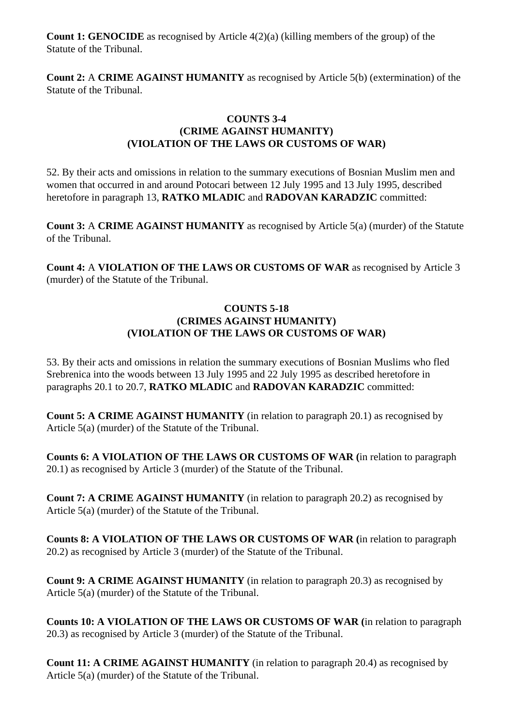**Count 1: GENOCIDE** as recognised by Article 4(2)(a) (killing members of the group) of the Statute of the Tribunal.

**Count 2:** A **CRIME AGAINST HUMANITY** as recognised by Article 5(b) (extermination) of the Statute of the Tribunal.

## **COUNTS 3-4 (CRIME AGAINST HUMANITY) (VIOLATION OF THE LAWS OR CUSTOMS OF WAR)**

52. By their acts and omissions in relation to the summary executions of Bosnian Muslim men and women that occurred in and around Potocari between 12 July 1995 and 13 July 1995, described heretofore in paragraph 13, **RATKO MLADIC** and **RADOVAN KARADZIC** committed:

**Count 3:** A **CRIME AGAINST HUMANITY** as recognised by Article 5(a) (murder) of the Statute of the Tribunal.

**Count 4:** A **VIOLATION OF THE LAWS OR CUSTOMS OF WAR** as recognised by Article 3 (murder) of the Statute of the Tribunal.

## **COUNTS 5-18 (CRIMES AGAINST HUMANITY) (VIOLATION OF THE LAWS OR CUSTOMS OF WAR)**

53. By their acts and omissions in relation the summary executions of Bosnian Muslims who fled Srebrenica into the woods between 13 July 1995 and 22 July 1995 as described heretofore in paragraphs 20.1 to 20.7, **RATKO MLADIC** and **RADOVAN KARADZIC** committed:

**Count 5: A CRIME AGAINST HUMANITY** (in relation to paragraph 20.1) as recognised by Article 5(a) (murder) of the Statute of the Tribunal.

**Counts 6: A VIOLATION OF THE LAWS OR CUSTOMS OF WAR (**in relation to paragraph 20.1) as recognised by Article 3 (murder) of the Statute of the Tribunal.

**Count 7: A CRIME AGAINST HUMANITY** (in relation to paragraph 20.2) as recognised by Article 5(a) (murder) of the Statute of the Tribunal.

**Counts 8: A VIOLATION OF THE LAWS OR CUSTOMS OF WAR (**in relation to paragraph 20.2) as recognised by Article 3 (murder) of the Statute of the Tribunal.

**Count 9: A CRIME AGAINST HUMANITY** (in relation to paragraph 20.3) as recognised by Article 5(a) (murder) of the Statute of the Tribunal.

**Counts 10: A VIOLATION OF THE LAWS OR CUSTOMS OF WAR (**in relation to paragraph 20.3) as recognised by Article 3 (murder) of the Statute of the Tribunal.

**Count 11: A CRIME AGAINST HUMANITY** (in relation to paragraph 20.4) as recognised by Article 5(a) (murder) of the Statute of the Tribunal.